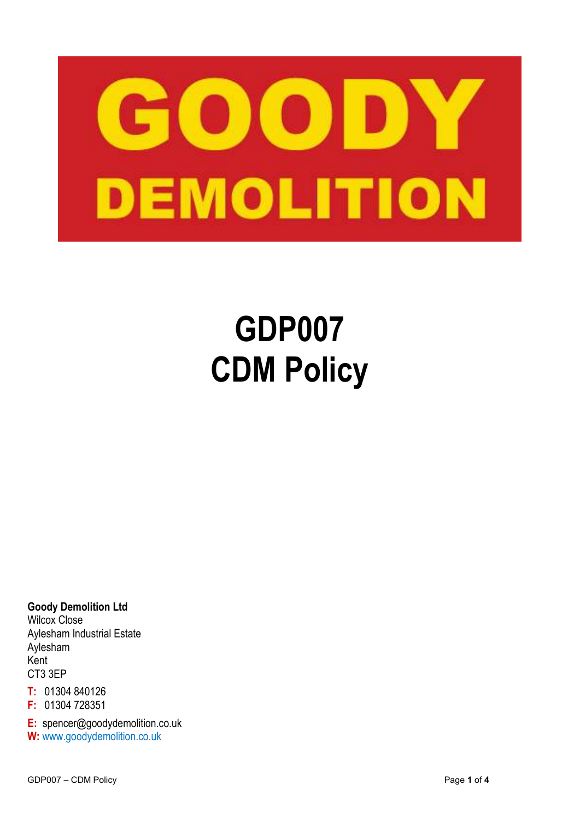

# **GDP007 CDM Policy**

**Goody Demolition Ltd**  Wilcox Close Aylesham Industrial Estate Aylesham Kent CT3 3EP

**T:** 01304 840126

**F:** 01304 728351

**E:** spencer@goodydemolition.co.uk **W:** www.goodydemolition.co.uk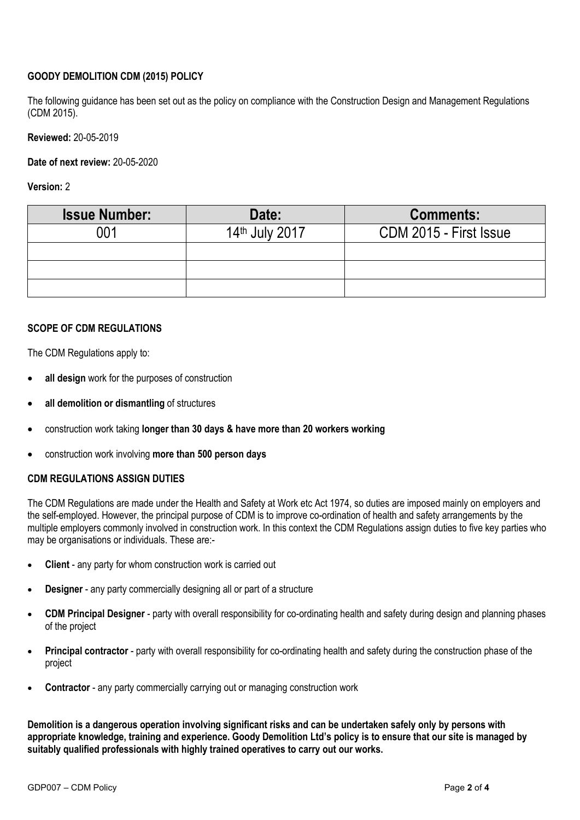# **GOODY DEMOLITION CDM (2015) POLICY**

The following guidance has been set out as the policy on compliance with the Construction Design and Management Regulations (CDM 2015).

**Reviewed:** 20-05-2019

**Date of next review:** 20-05-2020

**Version:** 2

| <b>Issue Number:</b> | Date:          | <b>Comments:</b>       |
|----------------------|----------------|------------------------|
| በበ1                  | 14th July 2017 | CDM 2015 - First Issue |
|                      |                |                        |
|                      |                |                        |
|                      |                |                        |

#### **SCOPE OF CDM REGULATIONS**

The CDM Regulations apply to:

- **all design** work for the purposes of construction
- **all demolition or dismantling** of structures
- construction work taking **longer than 30 days & have more than 20 workers working**
- construction work involving **more than 500 person days**

#### **CDM REGULATIONS ASSIGN DUTIES**

The CDM Regulations are made under the Health and Safety at Work etc Act 1974, so duties are imposed mainly on employers and the self-employed. However, the principal purpose of CDM is to improve co-ordination of health and safety arrangements by the multiple employers commonly involved in construction work. In this context the CDM Regulations assign duties to five key parties who may be organisations or individuals. These are:-

- **Client**  any party for whom construction work is carried out
- **Designer**  any party commercially designing all or part of a structure
- **CDM Principal Designer**  party with overall responsibility for co-ordinating health and safety during design and planning phases of the project
- **Principal contractor** party with overall responsibility for co-ordinating health and safety during the construction phase of the project
- **Contractor** any party commercially carrying out or managing construction work

**Demolition is a dangerous operation involving significant risks and can be undertaken safely only by persons with appropriate knowledge, training and experience. Goody Demolition Ltd's policy is to ensure that our site is managed by suitably qualified professionals with highly trained operatives to carry out our works.**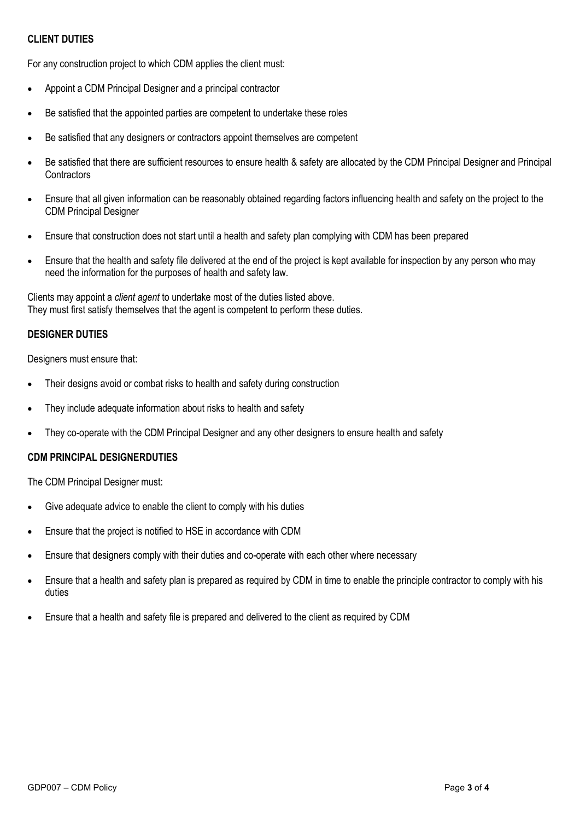### **CLIENT DUTIES**

For any construction project to which CDM applies the client must:

- Appoint a CDM Principal Designer and a principal contractor
- Be satisfied that the appointed parties are competent to undertake these roles
- Be satisfied that any designers or contractors appoint themselves are competent
- Be satisfied that there are sufficient resources to ensure health & safety are allocated by the CDM Principal Designer and Principal **Contractors**
- Ensure that all given information can be reasonably obtained regarding factors influencing health and safety on the project to the CDM Principal Designer
- Ensure that construction does not start until a health and safety plan complying with CDM has been prepared
- Ensure that the health and safety file delivered at the end of the project is kept available for inspection by any person who may need the information for the purposes of health and safety law.

Clients may appoint a *client agent* to undertake most of the duties listed above. They must first satisfy themselves that the agent is competent to perform these duties.

## **DESIGNER DUTIES**

Designers must ensure that:

- Their designs avoid or combat risks to health and safety during construction
- They include adequate information about risks to health and safety
- They co-operate with the CDM Principal Designer and any other designers to ensure health and safety

## **CDM PRINCIPAL DESIGNERDUTIES**

The CDM Principal Designer must:

- Give adequate advice to enable the client to comply with his duties
- Ensure that the project is notified to HSE in accordance with CDM
- Ensure that designers comply with their duties and co-operate with each other where necessary
- Ensure that a health and safety plan is prepared as required by CDM in time to enable the principle contractor to comply with his duties
- Ensure that a health and safety file is prepared and delivered to the client as required by CDM